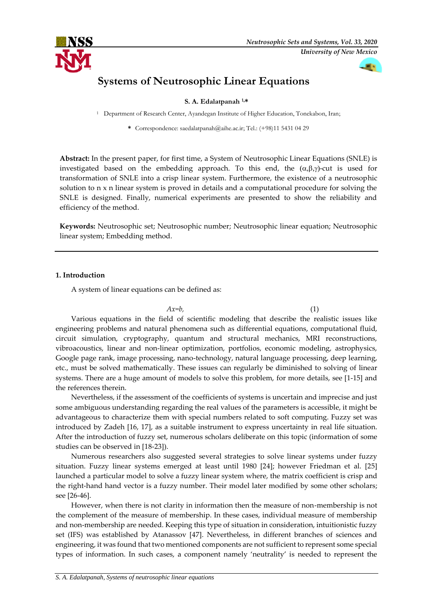



# **Systems of Neutrosophic Linear Equations**

**S. A. Edalatpanah 1,\***

<sup>1</sup> Department of Research Center, Ayandegan Institute of Higher Education, Tonekabon, Iran;

**\*** Correspondence: saedalatpanah@aihe.ac.ir; Tel.: (+98)11 5431 04 29

**Abstract:** In the present paper, for first time, a System of Neutrosophic Linear Equations (SNLE) is investigated based on the embedding approach. To this end, the  $(\alpha,\beta,\gamma)$ -cut is used for transformation of SNLE into a crisp linear system. Furthermore, the existence of a neutrosophic solution to n x n linear system is proved in details and a computational procedure for solving the SNLE is designed. Finally, numerical experiments are presented to show the reliability and efficiency of the method.

**Keywords:** Neutrosophic set; Neutrosophic number; Neutrosophic linear equation; Neutrosophic linear system; Embedding method.

# **1. Introduction**

A system of linear equations can be defined as:

 $Ax=b$ , (1) Various equations in the field of scientific modeling that describe the realistic issues like engineering problems and natural phenomena such as differential equations, computational fluid, circuit simulation, cryptography, quantum and structural mechanics, MRI reconstructions, vibroacoustics, linear and non-linear optimization, portfolios, economic modeling, astrophysics, Google page rank, image processing, nano-technology, natural language processing, deep learning, etc., must be solved mathematically. These issues can regularly be diminished to solving of linear systems. There are a huge amount of models to solve this problem, for more details, see [1-15] and the references therein.

Nevertheless, if the assessment of the coefficients of systems is uncertain and imprecise and just some ambiguous understanding regarding the real values of the parameters is accessible, it might be advantageous to characterize them with special numbers related to soft computing. Fuzzy set was introduced by Zadeh [16, 17], as a suitable instrument to express uncertainty in real life situation. After the introduction of fuzzy set, numerous scholars deliberate on this topic (information of some studies can be observed in [18-23]).

Numerous researchers also suggested several strategies to solve linear systems under fuzzy situation. Fuzzy linear systems emerged at least until 1980 [24]; however Friedman et al. [25] launched a particular model to solve a fuzzy linear system where, the matrix coefficient is crisp and the right-hand hand vector is a fuzzy number. Their model later modified by some other scholars; see [26-46].

However, when there is not clarity in information then the measure of non-membership is not the complement of the measure of membership. In these cases, individual measure of membership and non-membership are needed. Keeping this type of situation in consideration, intuitionistic fuzzy set (IFS) was established by Atanassov [47]. Nevertheless, in different branches of sciences and engineering, it was found that two mentioned components are not sufficient to represent some special types of information. In such cases, a component namely 'neutrality' is needed to represent the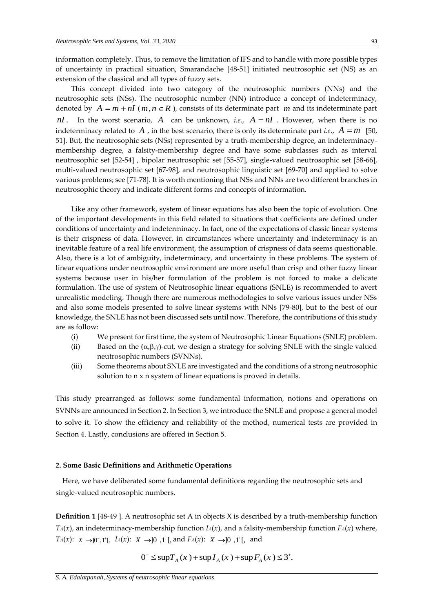information completely. Thus, to remove the limitation of IFS and to handle with more possible types of uncertainty in practical situation, Smarandache [48-51] initiated neutrosophic set (NS) as an extension of the classical and all types of fuzzy sets.

This concept divided into two category of the neutrosophic numbers (NNs) and the neutrosophic sets (NSs). The neutrosophic number (NN) introduce a concept of indeterminacy, denoted by  $A = m + nI$  ( $m, n \in R$ ), consists of its determinate part  $m$  and its indeterminate part *nI*. In the worst scenario, A can be unknown, *i.e.*,  $A = nI$ . However, when there is no indeterminacy related to  $A$ , in the best scenario, there is only its determinate part *i.e.*,  $A = m$  [50, 51]. But, the neutrosophic sets (NSs) represented by a truth-membership degree, an indeterminacymembership degree, a falsity-membership degree and have some subclasses such as interval neutrosophic set [52-54] , bipolar neutrosophic set [55-57], single-valued neutrosophic set [58-66], multi-valued neutrosophic set [67-98], and neutrosophic linguistic set [69-70] and applied to solve various problems; see [71-78]. It is worth mentioning that NSs and NNs are two different branches in neutrosophic theory and indicate different forms and concepts of information.

Like any other framework, system of linear equations has also been the topic of evolution. One of the important developments in this field related to situations that coefficients are defined under conditions of uncertainty and indeterminacy. In fact, one of the expectations of classic linear systems is their crispness of data. However, in circumstances where uncertainty and indeterminacy is an inevitable feature of a real life environment, the assumption of crispness of data seems questionable. Also, there is a lot of ambiguity, indeterminacy, and uncertainty in these problems. The system of linear equations under neutrosophic environment are more useful than crisp and other fuzzy linear systems because user in his/her formulation of the problem is not forced to make a delicate formulation. The use of system of Neutrosophic linear equations (SNLE) is recommended to avert unrealistic modeling. Though there are numerous methodologies to solve various issues under NSs and also some models presented to solve linear systems with NNs [79-80], but to the best of our knowledge, the SNLE has not been discussed sets until now. Therefore, the contributions of this study are as follow:

- (i) We present for first time, the system of Neutrosophic Linear Equations (SNLE) problem.
- (ii) Based on the  $(\alpha,\beta,\gamma)$ -cut, we design a strategy for solving SNLE with the single valued neutrosophic numbers (SVNNs).
- (iii) Some theorems about SNLE are investigated and the conditions of a strong neutrosophic solution to n x n system of linear equations is proved in details.

This study prearranged as follows: some fundamental information, notions and operations on SVNNs are announced in Section 2. In Section 3, we introduce the SNLE and propose a general model to solve it. To show the efficiency and reliability of the method, numerical tests are provided in Section 4. Lastly, conclusions are offered in Section 5.

#### **2. Some Basic Definitions and Arithmetic Operations**

 Here, we have deliberated some fundamental definitions regarding the neutrosophic sets and single-valued neutrosophic numbers.

**Definition 1** [48-49 ]. A neutrosophic set A in objects X is described by a truth-membership function *T*<sup>*A*</sup>(*x*), an indeterminacy-membership function *I*<sup>*A*</sup>(*x*), and a falsity-membership function *F*<sup>*A*</sup>(*x*) where, *TA*(*x*):  $X \rightarrow 0$ <sup>-</sup>,1<sup>+</sup>[, *IA*(*x*):  $X \rightarrow 0$ <sup>-</sup>,1<sup>+</sup>[, and *FA*(*x*):  $X \rightarrow 0$ <sup>-</sup>,1<sup>+</sup>[, and

$$
0^{-} \leq \sup T_A(x) + \sup I_A(x) + \sup F_A(x) \leq 3^{+}
$$
.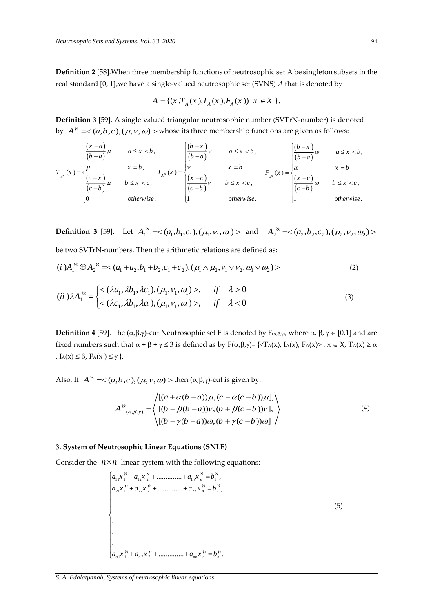**Definition 2** [58].When three membership functions of neutrosophic set A be singleton subsets in the real standard [0, 1],we have a single-valued neutrosophic set (SVNS) *A* that is denoted by

$$
A = \{(x, T_A(x), I_A(x), F_A(x)) | x \in X \}.
$$

**Definition 3** [59]. A single valued triangular neutrosophic number (SVTrN-number) is denoted by  $A$ <sup> $\kappa$ </sup>  $=\!<$   $(a,b,c)$ ,  $(\mu,\nu,\omega)$   $>$  whose its three membership functions are given as follows:

$$
T_{x^{\kappa}}(x) = \begin{cases} \frac{\left(x-a\right)}{\left(b-a\right)}\mu & a \leq x < b, \\ \mu & x = b, \\ \frac{\left(c-x\right)}{\left(c-b\right)}\mu & b \leq x < c, \end{cases} \qquad I_{x^{\kappa}}(x) = \begin{cases} \frac{\left(b-x\right)}{\left(b-a\right)}\nu & a \leq x < b, \\ \nu & x = b \\ \frac{\left(x-c\right)}{\left(c-b\right)}\nu & b \leq x < c, \\ 1 & otherwise. \end{cases} \qquad F_{x^{\kappa}}(x) = \begin{cases} \frac{\left(b-x\right)}{\left(b-a\right)}\omega & a \leq x < b, \\ \omega & x = b \\ \frac{\left(x-c\right)}{\left(c-b\right)}\omega & b \leq x < c, \\ 1 & otherwise. \end{cases}
$$

**Definition 3** [59]. Let  $A_1^{\aleph} = \langle (a_1, b_1, c_1), (\mu_1, v_1, \omega_1) \rangle$  and  $A_2^{\aleph} = \langle (a_2, b_2, c_2), (\mu_2, v_2, \omega_2) \rangle$ 

be two SVTrN-numbers. Then the arithmetic relations are defined as:

be two SVTrN-numbers. Then the arithmetic relations are defined as:  
\n
$$
(i) A_1^{\aleph} \oplus A_2^{\aleph} = \langle (a_1 + a_2, b_1 + b_2, c_1 + c_2), (\mu_1 \wedge \mu_2, \nu_1 \vee \nu_2, a_1 \vee a_2) \rangle
$$
\n
$$
(2)
$$

$$
(ii)\lambda A_1^{\aleph} = \begin{cases} <(\lambda a_1, \lambda b_1, \lambda c_1), (\mu_1, v_1, \omega_1)>, & if \quad \lambda > 0\\ <(\lambda c_1, \lambda b_1, \lambda a_1), (\mu_1, v_1, \omega_1)>, & if \quad \lambda < 0 \end{cases}
$$
\n(3)

**Definition 4** [59]. The  $(\alpha,\beta,\gamma)$ -cut Neutrosophic set F is denoted by  $F_{(\alpha,\beta,\gamma)}$ , where  $\alpha$ ,  $\beta$ ,  $\gamma \in [0,1]$  and are fixed numbers such that  $\alpha + \beta + \gamma \le 3$  is defined as by  $F(\alpha, \beta, \gamma) = \{\langle T_A(x), I_A(x), F_A(x)\rangle : x \in X, T_A(x) \ge \alpha\}$ ,  $I_A(x) \leq \beta$ ,  $F_A(x) \leq \gamma$ .

Also, If  $A^{\aleph} = <(a,b,c), (\mu,\nu,\omega) >$  then  $(\alpha,\beta,\gamma)$ -cut is given by:

$$
A^{\aleph}_{(\alpha,\beta,\gamma)} = \begin{cases} [(a+\alpha(b-a))\mu, (c-\alpha(c-b))\mu], \\ [(b-\beta(b-a))\nu, (b+\beta(c-b))\nu], \\ [(b-\gamma(b-a))\omega, (b+\gamma(c-b))\omega] \end{cases}
$$
(4)

## **3. System of Neutrosophic Linear Equations (SNLE)**

Consider the  $n \times n$  linear system with the following equations:

$$
\begin{cases}\na_{11}x_1^8 + a_{12}x_2^8 + \dots + a_{1n}x_n^8 = b_1^8, \\
a_{21}x_1^8 + a_{22}x_2^8 + \dots + a_{2n}x_n^8 = b_2^8, \\
\vdots \\
a_{n1}x_1^8 + a_{n2}x_2^8 + \dots + a_{nn}x_n^8 = b_n^8.\n\end{cases}
$$
\n(5)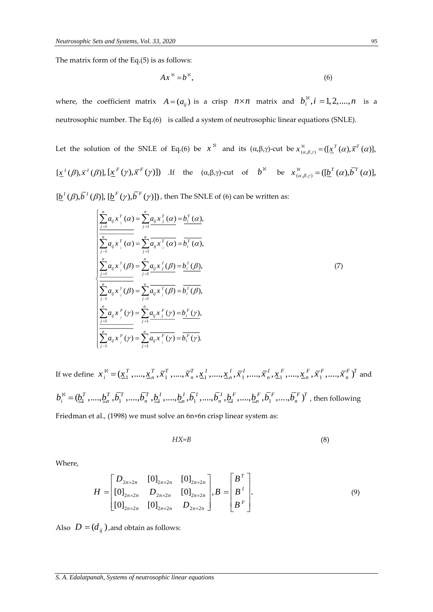The matrix form of the Eq.(5) is as follows:

$$
Ax^{\aleph} = b^{\aleph},\tag{6}
$$

where, the coefficient matrix  $A = (a_{ij})$  is a crisp  $n \times n$  matrix and  $b_i^{\aleph}, i = 1, 2, ..., n$  is a neutrosophic number. The Eq.(6) is called a system of neutrosophic linear equations (SNLE).

Let the solution of the SNLE of Eq.(6) be  $x^N$  and its  $(\alpha, \beta, \gamma)$ -cut be  $x^N_{(\alpha, \beta, \gamma)} = (\lfloor \underline{x}^T(\alpha), \overline{x}^T(\alpha) \rfloor)$ ,  $[\underline{x}^{I}(\beta), \overline{x}^{I}(\beta)], [\underline{x}^{F}(\gamma), \overline{x}^{F}(\gamma)]$  If the  $(\alpha, \beta, \gamma)$ -cut of  $b^{N}$  be  $x_{(\alpha, \beta, \gamma)}^{N} = ([\underline{b}^{T}(\alpha), \overline{b}^{T}(\alpha)],$  $[\underline{b}^{I}(\beta), \overline{b}^{I}(\beta)], [\underline{b}^{F}(\gamma), \overline{b}^{F}(\gamma)]$ , then The SNLE of (6) can be written as:

$$
\begin{cases}\n\sum_{j=1}^{n} a_{ij} x_{j}^{T} (\alpha) = \sum_{j=1}^{n} a_{ij} x_{j}^{T} (\alpha) = b_{i}^{T} (\alpha), \\
\sum_{j=1}^{n} a_{ij} x_{j}^{T} (\alpha) = \sum_{j=1}^{n} a_{ij} x_{j}^{T} (\alpha) = b_{i}^{T} (\alpha), \\
\sum_{j=1}^{n} a_{ij} x_{j}^{T} (\beta) = \sum_{j=1}^{n} a_{ij} x_{j}^{T} (\beta) = b_{i}^{T} (\beta), \\
\sum_{j=1}^{n} a_{ij} x_{j}^{T} (\beta) = \sum_{j=1}^{n} a_{ij} x_{j}^{T} (\beta) = b_{i}^{T} (\beta), \\
\sum_{j=1}^{n} a_{ij} x_{j}^{F} (\gamma) = \sum_{j=1}^{n} a_{ij} x_{j}^{F} (\gamma) = b_{i}^{F} (\gamma), \\
\sum_{j=1}^{n} a_{ij} x_{j}^{F} (\gamma) = \sum_{j=1}^{n} a_{ij} x_{j}^{F} (\gamma) = b_{i}^{F} (\gamma).\n\end{cases}
$$
\n(7)

If we define  $\chi_i^{\text{N}} = (\underline{x}_1^T, ..., \underline{x}_n^T, \overline{x}_1^T, ..., \overline{x}_n^T, \underline{x}_1^I, ..., \underline{x}_n^I, \overline{x}_1^I, ..., \underline{x}_n^I, \overline{x}_1^I, ..., \overline{x}_n^I, \underline{x}_1^F, ..., \underline{x}_n^F, \overline{x}_1^F, ..., \overline{x}_n^F)^T$  $a_i^S = (\underline{x}_1^T, \dots, \underline{x}_n^T, \overline{x}_1^T, \dots, \overline{x}_n^T, \underline{x}_1^T, \dots, \underline{x}_n^T, \overline{x}_1^T, \dots, \overline{x}_n^T, \underline{x}_1^F, \dots, \underline{x}_n^F, \overline{x}_1^F, \dots, \overline{x}_n^F)^T$  and  $b_i^{\aleph} = (\underline{b}_1^T, \dots, \underline{b}_n^T, \overline{b}_1^T, \dots, \overline{b}_n^T, \underline{b}_1^T, \dots, \underline{b}_n^T, \overline{b}_1^T, \dots, \overline{b}_n^T, \underline{b}_1^F, \dots, \underline{b}_n^F, \overline{b}_1^F, \dots, \overline{b}_n^F)^T$ , then following Friedman et al., (1998) we must solve an 6n×6n crisp linear system as:

$$
HX = B \tag{8}
$$

Where,

$$
H = \begin{bmatrix} D_{2n \times 2n} & [0]_{2n \times 2n} & [0]_{2n \times 2n} \\ [0]_{2n \times 2n} & D_{2n \times 2n} & [0]_{2n \times 2n} \\ [0]_{2n \times 2n} & [0]_{2n \times 2n} & D_{2n \times 2n} \end{bmatrix}, B = \begin{bmatrix} B^T \\ B^T \\ B^T \end{bmatrix}.
$$
\n(9)

Also  $\,D = (d_{ij}^{\phantom i})$  ,and obtain as follows: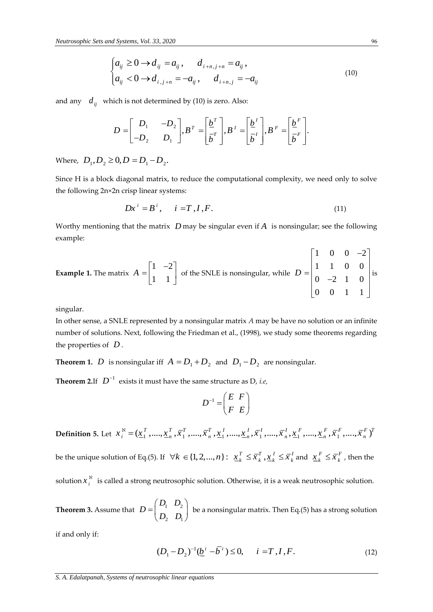$$
\begin{cases} a_{ij} \ge 0 \to d_{ij} = a_{ij}, & d_{i+n,j+n} = a_{ij}, \\ a_{ij} < 0 \to d_{i,j+n} = -a_{ij}, & d_{i+n,j} = -a_{ij} \end{cases} \tag{10}
$$

and any  $d_{ij}$  which is not determined by (10) is zero. Also:

$$
D = \begin{bmatrix} D_1 & -D_2 \ -D_2 & D_1 \end{bmatrix}, B^T = \begin{bmatrix} \frac{b^T}{b^T} \end{bmatrix}, B^T = \begin{bmatrix} \frac{b^T}{b^T} \end{bmatrix}, B^F = \begin{bmatrix} \frac{b^F}{b^T} \end{bmatrix}.
$$

Where,  $D_1, D_2 \ge 0, D = D_1 - D_2$ .

Since H is a block diagonal matrix, to reduce the computational complexity, we need only to solve the following 2n×2n crisp linear systems:

$$
Dx^i = B^i, \quad i = T, I, F. \tag{11}
$$

Worthy mentioning that the matrix  $\,D$  may be singular even if  $A\,$  is nonsingular; see the following example:

**Example 1.** The matrix 
$$
A = \begin{bmatrix} 1 & -2 \\ 1 & 1 \end{bmatrix}
$$
 of the SNLE is nonsingular, while  $D = \begin{bmatrix} 1 & 0 & 0 & -2 \\ 1 & 1 & 0 & 0 \\ 0 & -2 & 1 & 0 \\ 0 & 0 & 1 & 1 \end{bmatrix}$  is

singular.

In other sense, a SNLE represented by a nonsingular matrix *A* may be have no solution or an infinite number of solutions. Next, following the Friedman et al., (1998), we study some theorems regarding the properties of *D* .

**Theorem 1.** D is nonsingular iff  $A = D_1 + D_2$  and  $D_1 - D_2$  are nonsingular.

**Theorem 2.**If  $D^{-1}$  exists it must have the same structure as D, *i.e,* 

$$
D^{-1} = \begin{pmatrix} E & F \\ F & E \end{pmatrix}
$$

**Definition 5.** Let  $x_i^{\aleph} = (\underline{x}_1^T, ..., \underline{x}_n^T, \overline{x}_1^T, ..., \overline{x}_n^T, \underline{x}_1^1, ..., \underline{x}_n^T, \overline{x}_1^1, ..., \overline{x}_n^T, \underline{x}_1^F, ..., \underline{x}_n^F, \overline{x}_1^F, ..., \overline{x}_n^F)^T$ be the unique solution of Eq.(5). If  $\forall k\in\{1,2,...,n\}\colon\,\,\underline{x}^T_k\leq\overline{x}^T_k$  ,  $\underline{x}^I_k\leq\overline{x}^I_k$  and  $\,\,\underline{x}^F_k\leq\overline{x}^F_k$  , then the

solution $x_i^\aleph$  is called a strong neutrosophic solution. Otherwise, it is a weak neutrosophic solution.

**Theorem 3.** Assume that  $D = \begin{bmatrix} D_1 & D_2 \\ D_1 & D_2 \end{bmatrix}$ 2  $\boldsymbol{\nu}_1$ *D D D D D*  $\mathbb{E}=\begin{pmatrix} D_1&D_2\ D_2&D_1 \end{pmatrix}$  be a nonsingular matrix. Then Eq.(5) has a strong solution

if and only if:

$$
(D_1 - D_2)^{-1} (\underline{b}^i - \overline{b}^i) \le 0, \quad i = T, I, F. \tag{12}
$$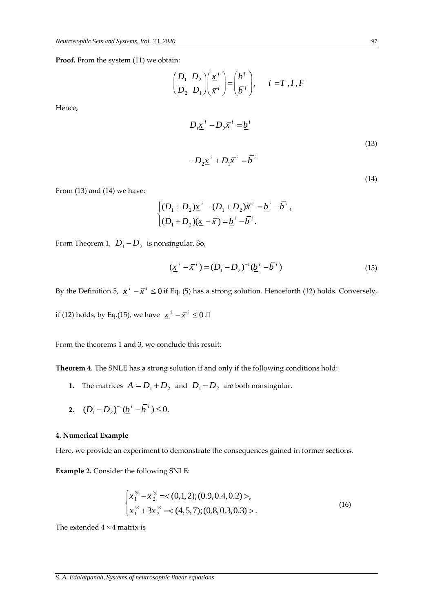**Proof.** From the system (11) we obtain:

$$
\begin{pmatrix} D_1 & D_2 \ D_2 & D_1 \end{pmatrix} \begin{pmatrix} \underline{x}^i \\ \overline{x}^i \end{pmatrix} = \begin{pmatrix} \underline{b}^i \\ \overline{b}^i \end{pmatrix}, \quad i = T, I, F
$$

Hence,

$$
D_1 \underline{x}^i - D_2 \overline{x}^i = \underline{b}^i
$$
  

$$
-D_2 \underline{x}^i + D_1 \overline{x}^i = \overline{b}^i
$$
 (13)

From (13) and (14) we have:

$$
\begin{cases}\n(D_1 + D_2)\underline{x}^i - (D_1 + D_2)\overline{x}^i = \underline{b}^i - \overline{b}^i, \\
(D_1 + D_2)(\underline{x} - \overline{x}) = \underline{b}^i - \overline{b}^i.\n\end{cases}
$$

From Theorem 1,  $\left.D_{1}\!-\!D_{2}\right.$  is nonsingular. So,

$$
(\underline{x}^i - \overline{x}^i) = (D_1 - D_2)^{-1} (\underline{b}^i - \overline{b}^i)
$$
\n(15)

By the Definition 5,  $x^i - \overline{x}^i \le 0$  if Eq. (5) has a strong solution. Henceforth (12) holds. Conversely,

if (12) holds, by Eq.(15), we have  $\int x^i - \overline{x}^i \le 0$  .

From the theorems 1 and 3, we conclude this result:

**Theorem 4.** The SNLE has a strong solution if and only if the following conditions hold:

- **1.** The matrices  $A = D_1 + D_2$  and  $D_1 D_2$  are both nonsingular.
- **2.**  $(D_1 D_2)^{-1}(\underline{b}^i \overline{b}^i) \leq 0.$

### **4. Numerical Example**

Here, we provide an experiment to demonstrate the consequences gained in former sections.

**Example 2.** Consider the following SNLE:

$$
\begin{cases} x_1^8 - x_2^8 = (0,1,2); (0.9,0.4,0.2) >, \\ x_1^8 + 3x_2^8 = (4,5,7); (0.8,0.3,0.3) >. \end{cases}
$$
 (16)

The extended 4 × 4 matrix is

(14)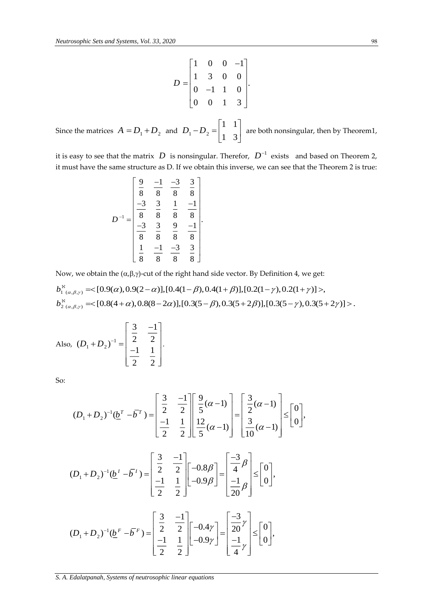$$
D = \begin{bmatrix} 1 & 0 & 0 & -1 \\ 1 & 3 & 0 & 0 \\ 0 & -1 & 1 & 0 \\ 0 & 0 & 1 & 3 \end{bmatrix}.
$$

Since the matrices  $A = D_1 + D_2$  and  $D_1 - D_2$ 1 1 1 3  $D_1 - D_2 = \begin{bmatrix} 1 & 1 \\ 1 & 3 \end{bmatrix}$  are both nonsingular, then by Theorem1,

it is easy to see that the matrix  $|D|$  is nonsingular. Therefor,  $|D^{-1}|$  exists and based on Theorem 2, it must have the same structure as D. If we obtain this inverse, we can see that the Theorem 2 is true:

$$
D^{-1} = \begin{bmatrix} \frac{9}{8} & \frac{-1}{8} & \frac{-3}{8} & \frac{3}{8} \\ \frac{-3}{8} & \frac{3}{8} & \frac{1}{8} & \frac{-1}{8} \\ \frac{-3}{8} & \frac{3}{8} & \frac{9}{8} & \frac{-1}{8} \\ \frac{1}{8} & \frac{-1}{8} & \frac{-3}{8} & \frac{3}{8} \end{bmatrix}.
$$

Now, we obtain the  $(\alpha,\beta,\gamma)$ -cut of the right hand side vector. By Definition 4, we get:

$$
b_{1 (\alpha,\beta,\gamma)}^{\aleph} = \langle [0.9(\alpha), 0.9(2-\alpha)], [0.4(1-\beta), 0.4(1+\beta)], [0.2(1-\gamma), 0.2(1+\gamma)] \rangle, b_{2 (\alpha,\beta,\gamma)}^{\aleph} = \langle [0.8(4+\alpha), 0.8(8-2\alpha)], [0.3(5-\beta), 0.3(5+2\beta)], [0.3(5-\gamma), 0.3(5+2\gamma)] \rangle.
$$

Also, 
$$
(D_1 + D_2)^{-1} = \begin{bmatrix} \frac{3}{2} & \frac{-1}{2} \\ -1 & 1 \\ \frac{-1}{2} & \frac{1}{2} \end{bmatrix}
$$
.

So:

$$
(D_1 + D_2)^{-1}(\underline{b}^T - \overline{b}^T) = \begin{bmatrix} \frac{3}{2} & \frac{-1}{2} \\ \frac{-1}{2} & \frac{1}{2} \end{bmatrix} \begin{bmatrix} \frac{9}{5}(\alpha - 1) \\ \frac{12}{5}(\alpha - 1) \end{bmatrix} = \begin{bmatrix} \frac{3}{2}(\alpha - 1) \\ \frac{3}{10}(\alpha - 1) \end{bmatrix} \leq \begin{bmatrix} 0 \\ 0 \end{bmatrix},
$$
  

$$
(D_1 + D_2)^{-1}(\underline{b}^T - \overline{b}^T) = \begin{bmatrix} \frac{3}{2} & \frac{-1}{2} \\ \frac{-1}{2} & \frac{1}{2} \end{bmatrix} \begin{bmatrix} -0.8\beta \\ -0.9\beta \end{bmatrix} = \begin{bmatrix} \frac{-3}{4}\beta \\ \frac{-1}{20}\beta \end{bmatrix} \leq \begin{bmatrix} 0 \\ 0 \end{bmatrix},
$$
  

$$
(D_1 + D_2)^{-1}(\underline{b}^F - \overline{b}^F) = \begin{bmatrix} \frac{3}{2} & \frac{-1}{2} \\ \frac{-1}{2} & \frac{1}{2} \end{bmatrix} \begin{bmatrix} -0.4\gamma \\ -0.9\gamma \end{bmatrix} = \begin{bmatrix} \frac{-3}{20}\gamma \\ \frac{-1}{4}\gamma \end{bmatrix} \leq \begin{bmatrix} 0 \\ 0 \end{bmatrix},
$$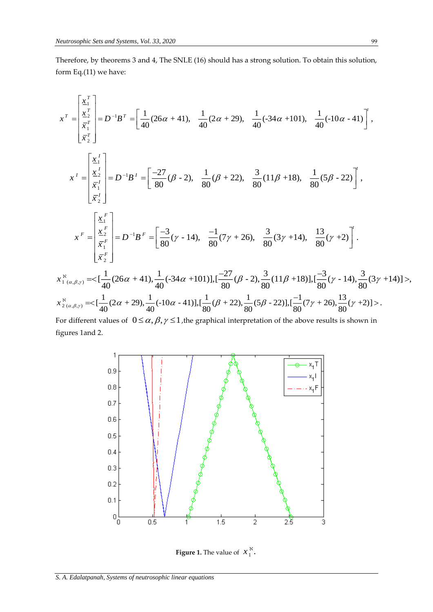Therefore, by theorems 3 and 4, The SNLE (16) should has a strong solution. To obtain this solution, form Eq.(11) we have:

$$
x^{T} = \begin{bmatrix} \frac{x_{1}^{T}}{x_{2}^{T}} \\ \frac{x_{2}^{T}}{x_{1}^{T}} \end{bmatrix} = D^{-1}B^{T} = \begin{bmatrix} \frac{1}{40}(26\alpha + 41), \frac{1}{40}(2\alpha + 29), \frac{1}{40}(34\alpha + 101), \frac{1}{40}(-10\alpha - 41) \end{bmatrix},
$$
  
\n
$$
x^{T} = \begin{bmatrix} \frac{x_{1}^{T}}{x_{2}^{T}} \\ \frac{x_{2}^{T}}{x_{1}^{T}} \end{bmatrix} = D^{-1}B^{T} = \begin{bmatrix} \frac{-27}{80}(\beta - 2), \frac{1}{80}(\beta + 22), \frac{3}{80}(11\beta + 18), \frac{1}{80}(5\beta - 22) \end{bmatrix},
$$
  
\n
$$
x^{F} = \begin{bmatrix} \frac{x_{1}^{F}}{x_{2}^{F}} \\ \frac{x_{2}^{F}}{x_{2}^{F}} \end{bmatrix} = D^{-1}B^{F} = \begin{bmatrix} \frac{-3}{80}(\gamma - 14), \frac{-1}{80}(7\gamma + 26), \frac{3}{80}(3\gamma + 14), \frac{13}{80}(\gamma + 2) \end{bmatrix}.
$$
  
\n
$$
x_{1}^{8} = \begin{bmatrix} \frac{x_{1}^{R}}{x_{1}^{F}} \\ \frac{x_{2}^{F}}{x_{2}^{F}} \end{bmatrix} = D^{-1}B^{F} = \begin{bmatrix} \frac{-3}{80}(\gamma - 14), \frac{-1}{80}(7\gamma + 26), \frac{3}{80}(3\gamma + 14), \frac{13}{80}(\gamma + 2) \end{bmatrix}.
$$
  
\n
$$
x_{1}^{8} = \frac{1}{40}(26\alpha + 41), \frac{1}{40}(-34\alpha + 101), [\frac{-27}{80}(\beta - 2), \frac{3}{80}(11\beta + 18)], [\frac{-3}{80}(\gamma - 14), \frac{3}{80}(3\gamma + 14)] >
$$
  
\n
$$
x_{2}^{8} = \begin{bmatrix} \frac{1}{40}(2\alpha + 29), \frac{1}{4
$$

For different values of  $0 \le \alpha, \beta, \gamma \le 1$ , the graphical interpretation of the above results is shown in figures 1and 2.



**Figure 1.** The value of  $x_1^8$ .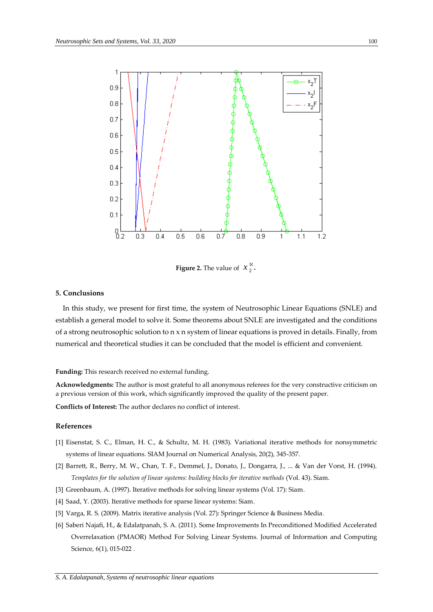

**Figure 2.** The value of  $x_2^8$ .

## **5. Conclusions**

 In this study, we present for first time, the system of Neutrosophic Linear Equations (SNLE) and establish a general model to solve it. Some theorems about SNLE are investigated and the conditions of a strong neutrosophic solution to  $n \times n$  system of linear equations is proved in details. Finally, from numerical and theoretical studies it can be concluded that the model is efficient and convenient.

#### **Funding:** This research received no external funding.

**Acknowledgments:** The author is most grateful to all anonymous referees for the very constructive criticism on a previous version of this work, which significantly improved the quality of the present paper.

**Conflicts of Interest:** The author declares no conflict of interest.

## **References**

- [1] Eisenstat, S. C., Elman, H. C., & Schultz, M. H. (1983). Variational iterative methods for nonsymmetric systems of linear equations. SIAM Journal on Numerical Analysis, 20(2), 345-357.
- [2] Barrett, R., Berry, M. W., Chan, T. F., Demmel, J., Donato, J., Dongarra, J., ... & Van der Vorst, H. (1994). *Templates for the solution of linear systems: building blocks for iterative methods* (Vol. 43). Siam.
- [3] Greenbaum, A. (1997). Iterative methods for solving linear systems (Vol. 17): Siam.
- [4] Saad, Y. (2003). Iterative methods for sparse linear systems: Siam.
- [5] Varga, R. S. (2009). Matrix iterative analysis (Vol. 27): Springer Science & Business Media.
- [6] Saberi Najafi, H., & Edalatpanah, S. A. (2011). Some Improvements In Preconditioned Modified Accelerated Overrelaxation (PMAOR) Method For Solving Linear Systems. Journal of Information and Computing Science, 6(1), 015-022 .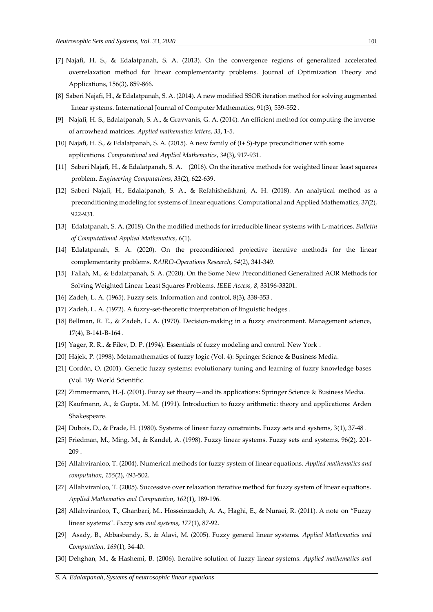- [7] Najafi, H. S., & Edalatpanah, S. A. (2013). On the convergence regions of generalized accelerated overrelaxation method for linear complementarity problems. Journal of Optimization Theory and Applications, 156(3), 859-866.
- [8] Saberi Najafi, H., & Edalatpanah, S. A. (2014). A new modified SSOR iteration method for solving augmented linear systems. International Journal of Computer Mathematics, 91(3), 539-552 .
- [9] Najafi, H. S., Edalatpanah, S. A., & Gravvanis, G. A. (2014). An efficient method for computing the inverse of arrowhead matrices. *Applied mathematics letters*, *33*, 1-5.
- [10] Najafi, H. S., & Edalatpanah, S. A. (2015). A new family of (I+ S)-type preconditioner with some applications. *Computational and Applied Mathematics*, *34*(3), 917-931.
- [11] Saberi Najafi, H., & Edalatpanah, S. A. (2016). On the iterative methods for weighted linear least squares problem. *Engineering Computations*, *33*(2), 622-639.
- [12] Saberi Najafi, H., Edalatpanah, S. A., & Refahisheikhani, A. H. (2018). An analytical method as a preconditioning modeling for systems of linear equations. Computational and Applied Mathematics, 37(2), 922-931.
- [13] Edalatpanah, S. A. (2018). On the modified methods for irreducible linear systems with L-matrices. *Bulletin of Computational Applied Mathematics*, *6*(1).
- [14] Edalatpanah, S. A. (2020). On the preconditioned projective iterative methods for the linear complementarity problems. *RAIRO-Operations Research*, *54*(2), 341-349.
- [15] Fallah, M., & Edalatpanah, S. A. (2020). On the Some New Preconditioned Generalized AOR Methods for Solving Weighted Linear Least Squares Problems. *IEEE Access*, *8*, 33196-33201.
- [16] Zadeh, L. A. (1965). Fuzzy sets. Information and control, 8(3), 338-353.
- [17] Zadeh, L. A. (1972). A fuzzy-set-theoretic interpretation of linguistic hedges .
- [18] Bellman, R. E., & Zadeh, L. A. (1970). Decision-making in a fuzzy environment. Management science, 17(4), B-141-B-164 .
- [19] Yager, R. R., & Filev, D. P. (1994). Essentials of fuzzy modeling and control. New York .
- [20] Hájek, P. (1998). Metamathematics of fuzzy logic (Vol. 4): Springer Science & Business Media.
- [21] Cordón, O. (2001). Genetic fuzzy systems: evolutionary tuning and learning of fuzzy knowledge bases (Vol. 19): World Scientific.
- [22] Zimmermann, H.-J. (2001). Fuzzy set theory—and its applications: Springer Science & Business Media.
- [23] Kaufmann, A., & Gupta, M. M. (1991). Introduction to fuzzy arithmetic: theory and applications: Arden Shakespeare.
- [24] Dubois, D., & Prade, H. (1980). Systems of linear fuzzy constraints. Fuzzy sets and systems, 3(1), 37-48 .
- [25] Friedman, M., Ming, M., & Kandel, A. (1998). Fuzzy linear systems. Fuzzy sets and systems, 96(2), 201- 209 .
- [26] Allahviranloo, T. (2004). Numerical methods for fuzzy system of linear equations. *Applied mathematics and computation*, *155*(2), 493-502.
- [27] Allahviranloo, T. (2005). Successive over relaxation iterative method for fuzzy system of linear equations. *Applied Mathematics and Computation*, *162*(1), 189-196.
- [28] Allahviranloo, T., Ghanbari, M., Hosseinzadeh, A. A., Haghi, E., & Nuraei, R. (2011). A note on "Fuzzy linear systems". *Fuzzy sets and systems*, *177*(1), 87-92.
- [29] Asady, B., Abbasbandy, S., & Alavi, M. (2005). Fuzzy general linear systems. *Applied Mathematics and Computation*, *169*(1), 34-40.
- [30] Dehghan, M., & Hashemi, B. (2006). Iterative solution of fuzzy linear systems. *Applied mathematics and*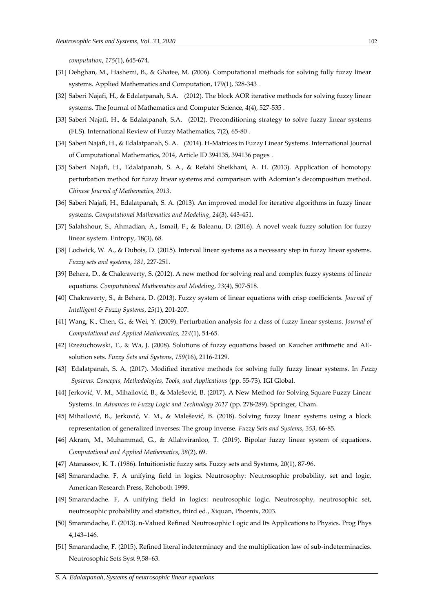*computation*, *175*(1), 645-674.

- [31] Dehghan, M., Hashemi, B., & Ghatee, M. (2006). Computational methods for solving fully fuzzy linear systems. Applied Mathematics and Computation, 179(1), 328-343 .
- [32] Saberi Najafi, H., & Edalatpanah, S.A. (2012). The block AOR iterative methods for solving fuzzy linear systems. The Journal of Mathematics and Computer Science, 4(4), 527-535 .
- [33] Saberi Najafi, H., & Edalatpanah, S.A. (2012). Preconditioning strategy to solve fuzzy linear systems (FLS). International Review of Fuzzy Mathematics, 7(2), 65-80 .
- [34] Saberi Najafi, H., & Edalatpanah, S. A. (2014). H-Matrices in Fuzzy Linear Systems. International Journal of Computational Mathematics, 2014, Article ID 394135, 394136 pages .
- [35] Saberi Najafi, H., Edalatpanah, S. A., & Refahi Sheikhani, A. H. (2013). Application of homotopy perturbation method for fuzzy linear systems and comparison with Adomian's decomposition method. *Chinese Journal of Mathematics*, *2013*.
- [36] Saberi Najafi, H., Edalatpanah, S. A. (2013). An improved model for iterative algorithms in fuzzy linear systems. *Computational Mathematics and Modeling*, *24*(3), 443-451.
- [37] Salahshour, S., Ahmadian, A., Ismail, F., & Baleanu, D. (2016). A novel weak fuzzy solution for fuzzy linear system. Entropy, 18(3), 68.
- [38] Lodwick, W. A., & Dubois, D. (2015). Interval linear systems as a necessary step in fuzzy linear systems. *Fuzzy sets and systems*, *281*, 227-251.
- [39] Behera, D., & Chakraverty, S. (2012). A new method for solving real and complex fuzzy systems of linear equations. *Computational Mathematics and Modeling*, *23*(4), 507-518.
- [40] Chakraverty, S., & Behera, D. (2013). Fuzzy system of linear equations with crisp coefficients. *Journal of Intelligent & Fuzzy Systems*, *25*(1), 201-207.
- [41] Wang, K., Chen, G., & Wei, Y. (2009). Perturbation analysis for a class of fuzzy linear systems. *Journal of Computational and Applied Mathematics*, *224*(1), 54-65.
- [42] Rzeżuchowski, T., & Wa, J. (2008). Solutions of fuzzy equations based on Kaucher arithmetic and AEsolution sets. *Fuzzy Sets and Systems*, *159*(16), 2116-2129.
- [43] Edalatpanah, S. A. (2017). Modified iterative methods for solving fully fuzzy linear systems. In *Fuzzy Systems: Concepts, Methodologies, Tools, and Applications* (pp. 55-73). IGI Global.
- [44] Jerković, V. M., Mihailović, B., & Malešević, B. (2017). A New Method for Solving Square Fuzzy Linear Systems. In *Advances in Fuzzy Logic and Technology 2017* (pp. 278-289). Springer, Cham.
- [45] Mihailović, B., Jerković, V. M., & Malešević, B. (2018). Solving fuzzy linear systems using a block representation of generalized inverses: The group inverse. *Fuzzy Sets and Systems*, *353*, 66-85.
- [46] Akram, M., Muhammad, G., & Allahviranloo, T. (2019). Bipolar fuzzy linear system of equations. *Computational and Applied Mathematics*, *38*(2), 69.
- [47] Atanassov, K. T. (1986). Intuitionistic fuzzy sets. Fuzzy sets and Systems, 20(1), 87-96.
- [48] Smarandache. F, A unifying field in logics. Neutrosophy: Neutrosophic probability, set and logic, American Research Press, Rehoboth 1999.
- [49] Smarandache. F, A unifying field in logics: neutrosophic logic. Neutrosophy, neutrosophic set, neutrosophic probability and statistics, third ed., Xiquan, Phoenix, 2003.
- [50] Smarandache, F. (2013). n-Valued Refined Neutrosophic Logic and Its Applications to Physics. Prog Phys 4,143–146.
- [51] Smarandache, F. (2015). Refined literal indeterminacy and the multiplication law of sub-indeterminacies. Neutrosophic Sets Syst 9,58–63.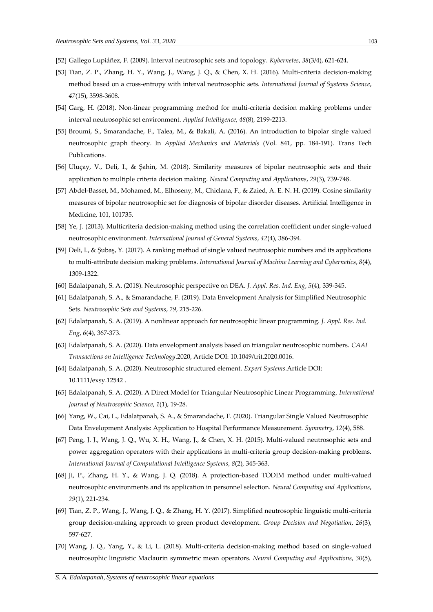- [52] Gallego Lupiáñez, F. (2009). Interval neutrosophic sets and topology. *Kybernetes*, *38*(3/4), 621-624.
- [53] Tian, Z. P., Zhang, H. Y., Wang, J., Wang, J. Q., & Chen, X. H. (2016). Multi-criteria decision-making method based on a cross-entropy with interval neutrosophic sets. *International Journal of Systems Science*, *47*(15), 3598-3608.
- [54] Garg, H. (2018). Non-linear programming method for multi-criteria decision making problems under interval neutrosophic set environment. *Applied Intelligence*, *48*(8), 2199-2213.
- [55] Broumi, S., Smarandache, F., Talea, M., & Bakali, A. (2016). An introduction to bipolar single valued neutrosophic graph theory. In *Applied Mechanics and Materials* (Vol. 841, pp. 184-191). Trans Tech Publications.
- [56] Uluçay, V., Deli, I., & Şahin, M. (2018). Similarity measures of bipolar neutrosophic sets and their application to multiple criteria decision making. *Neural Computing and Applications*, *29*(3), 739-748.
- [57] Abdel-Basset, M., Mohamed, M., Elhoseny, M., Chiclana, F., & Zaied, A. E. N. H. (2019). Cosine similarity measures of bipolar neutrosophic set for diagnosis of bipolar disorder diseases. Artificial Intelligence in Medicine, 101, 101735.
- [58] Ye, J. (2013). Multicriteria decision-making method using the correlation coefficient under single-valued neutrosophic environment. *International Journal of General Systems*, *42*(4), 386-394.
- [59] Deli, I., & Şubaş, Y. (2017). A ranking method of single valued neutrosophic numbers and its applications to multi-attribute decision making problems. *International Journal of Machine Learning and Cybernetics*, *8*(4), 1309-1322.
- [60] Edalatpanah, S. A. (2018). Neutrosophic perspective on DEA. *J. Appl. Res. Ind. Eng*, *5*(4), 339-345.
- [61] Edalatpanah, S. A., & Smarandache, F. (2019). Data Envelopment Analysis for Simplified Neutrosophic Sets. *Neutrosophic Sets and Systems*, *29*, 215-226.
- [62] Edalatpanah, S. A. (2019). A nonlinear approach for neutrosophic linear programming. *J. Appl. Res. Ind. Eng*, *6*(4), 367-373.
- [63] Edalatpanah, S. A. (2020). Data envelopment analysis based on triangular neutrosophic numbers. *CAAI Transactions on Intelligence Technology*.2020, Article DOI: 10.1049/trit.2020.0016.
- [64] Edalatpanah, S. A. (2020). Neutrosophic structured element. *Expert Systems*.Article DOI: 10.1111/exsy.12542 .
- [65] Edalatpanah, S. A. (2020). A Direct Model for Triangular Neutrosophic Linear Programming. *International Journal of Neutrosophic Science*, *1*(1), 19-28.
- [66] Yang, W., Cai, L., Edalatpanah, S. A., & Smarandache, F. (2020). Triangular Single Valued Neutrosophic Data Envelopment Analysis: Application to Hospital Performance Measurement. *Symmetry*, *12*(4), 588.
- [67] Peng, J. J., Wang, J. Q., Wu, X. H., Wang, J., & Chen, X. H. (2015). Multi-valued neutrosophic sets and power aggregation operators with their applications in multi-criteria group decision-making problems. *International Journal of Computational Intelligence Systems*, *8*(2), 345-363.
- [68] Ji, P., Zhang, H. Y., & Wang, J. Q. (2018). A projection-based TODIM method under multi-valued neutrosophic environments and its application in personnel selection. *Neural Computing and Applications*, *29*(1), 221-234.
- [69] Tian, Z. P., Wang, J., Wang, J. Q., & Zhang, H. Y. (2017). Simplified neutrosophic linguistic multi-criteria group decision-making approach to green product development. *Group Decision and Negotiation*, *26*(3), 597-627.
- [70] Wang, J. Q., Yang, Y., & Li, L. (2018). Multi-criteria decision-making method based on single-valued neutrosophic linguistic Maclaurin symmetric mean operators. *Neural Computing and Applications*, *30*(5),